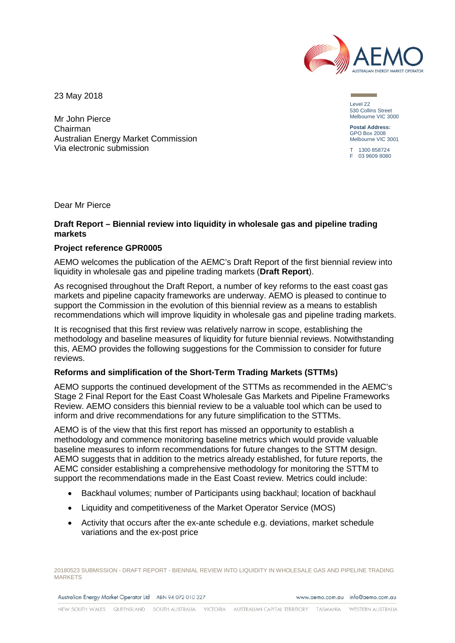

23 May 2018

Mr John Pierce Chairman Australian Energy Market Commission Via electronic submission

Level 22 530 Collins Street Melbourne VIC 3000

**Postal Address:** GPO Box 2008 Melbourne VIC 3001

T 1300 858724 F 03 9609 8080

Dear Mr Pierce

# **Draft Report – Biennial review into liquidity in wholesale gas and pipeline trading markets**

### **Project reference GPR0005**

AEMO welcomes the publication of the AEMC's Draft Report of the first biennial review into liquidity in wholesale gas and pipeline trading markets (**Draft Report**).

As recognised throughout the Draft Report, a number of key reforms to the east coast gas markets and pipeline capacity frameworks are underway. AEMO is pleased to continue to support the Commission in the evolution of this biennial review as a means to establish recommendations which will improve liquidity in wholesale gas and pipeline trading markets.

It is recognised that this first review was relatively narrow in scope, establishing the methodology and baseline measures of liquidity for future biennial reviews. Notwithstanding this, AEMO provides the following suggestions for the Commission to consider for future reviews.

# **Reforms and simplification of the Short-Term Trading Markets (STTMs)**

AEMO supports the continued development of the STTMs as recommended in the AEMC's Stage 2 Final Report for the East Coast Wholesale Gas Markets and Pipeline Frameworks Review. AEMO considers this biennial review to be a valuable tool which can be used to inform and drive recommendations for any future simplification to the STTMs.

AEMO is of the view that this first report has missed an opportunity to establish a methodology and commence monitoring baseline metrics which would provide valuable baseline measures to inform recommendations for future changes to the STTM design. AEMO suggests that in addition to the metrics already established, for future reports, the AEMC consider establishing a comprehensive methodology for monitoring the STTM to support the recommendations made in the East Coast review. Metrics could include:

- Backhaul volumes; number of Participants using backhaul; location of backhaul
- Liquidity and competitiveness of the Market Operator Service (MOS)
- Activity that occurs after the ex-ante schedule e.g. deviations, market schedule variations and the ex-post price

20180523 SUBMISSION - DRAFT REPORT - BIENNIAL REVIEW INTO LIQUIDITY IN WHOLESALE GAS AND PIPELINE TRADING **MARKETS** 

Australian Energy Market Operator Ltd ABN 94 072 010 327

www.gemo.com.gu info@gemo.com.gu

QUEENSLAND SOUTH AUSTRALIA VICTORIA AUSTRALIAN CAPITAL TERRITORY TASMANIA NEW SOLITH WALES WESTERN ALISTRALIA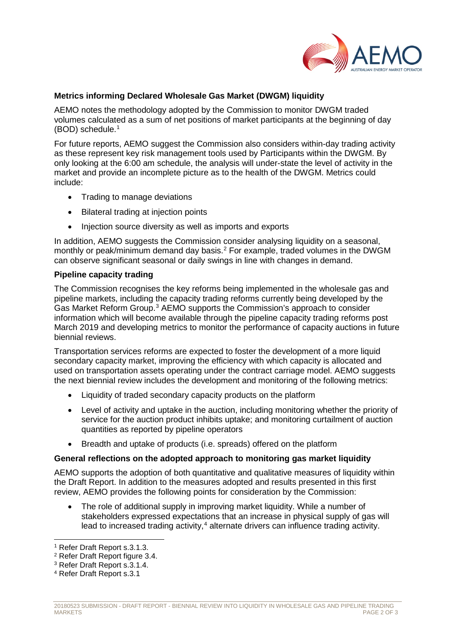

# **Metrics informing Declared Wholesale Gas Market (DWGM) liquidity**

AEMO notes the methodology adopted by the Commission to monitor DWGM traded volumes calculated as a sum of net positions of market participants at the beginning of day (BOD) schedule. [1](#page-1-0)

For future reports, AEMO suggest the Commission also considers within-day trading activity as these represent key risk management tools used by Participants within the DWGM. By only looking at the 6:00 am schedule, the analysis will under-state the level of activity in the market and provide an incomplete picture as to the health of the DWGM. Metrics could include:

- Trading to manage deviations
- Bilateral trading at injection points
- Injection source diversity as well as imports and exports

In addition, AEMO suggests the Commission consider analysing liquidity on a seasonal, monthly or peak/minimum demand day basis. [2](#page-1-1) For example, traded volumes in the DWGM can observe significant seasonal or daily swings in line with changes in demand.

#### **Pipeline capacity trading**

The Commission recognises the key reforms being implemented in the wholesale gas and pipeline markets, including the capacity trading reforms currently being developed by the Gas Market Reform Group.[3](#page-1-2) AEMO supports the Commission's approach to consider information which will become available through the pipeline capacity trading reforms post March 2019 and developing metrics to monitor the performance of capacity auctions in future biennial reviews.

Transportation services reforms are expected to foster the development of a more liquid secondary capacity market, improving the efficiency with which capacity is allocated and used on transportation assets operating under the contract carriage model. AEMO suggests the next biennial review includes the development and monitoring of the following metrics:

- Liquidity of traded secondary capacity products on the platform
- Level of activity and uptake in the auction, including monitoring whether the priority of service for the auction product inhibits uptake; and monitoring curtailment of auction quantities as reported by pipeline operators
- Breadth and uptake of products (i.e. spreads) offered on the platform

# **General reflections on the adopted approach to monitoring gas market liquidity**

AEMO supports the adoption of both quantitative and qualitative measures of liquidity within the Draft Report. In addition to the measures adopted and results presented in this first review, AEMO provides the following points for consideration by the Commission:

The role of additional supply in improving market liquidity. While a number of stakeholders expressed expectations that an increase in physical supply of gas will lead to increased trading activity,<sup>[4](#page-1-3)</sup> alternate drivers can influence trading activity.

<span id="page-1-0"></span> <sup>1</sup> Refer Draft Report s.3.1.3.

<sup>2</sup> Refer Draft Report figure 3.4.

<span id="page-1-2"></span><span id="page-1-1"></span><sup>3</sup> Refer Draft Report s.3.1.4.

<span id="page-1-3"></span><sup>4</sup> Refer Draft Report s.3.1